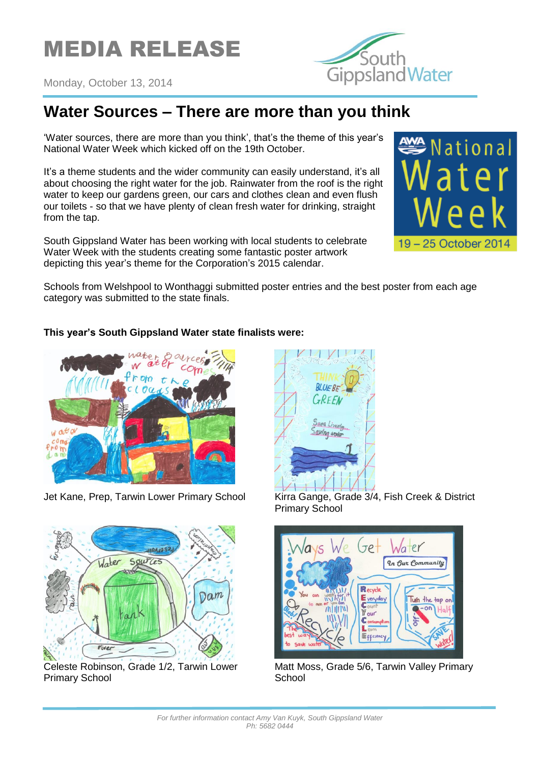





## **Water Sources – There are more than you think**

'Water sources, there are more than you think', that's the theme of this year's National Water Week which kicked off on the 19th October.

It's a theme students and the wider community can easily understand, it's all about choosing the right water for the job. Rainwater from the roof is the right water to keep our gardens green, our cars and clothes clean and even flush our toilets - so that we have plenty of clean fresh water for drinking, straight from the tap.

South Gippsland Water has been working with local students to celebrate Water Week with the students creating some fantastic poster artwork depicting this year's theme for the Corporation's 2015 calendar.



Schools from Welshpool to Wonthaggi submitted poster entries and the best poster from each age category was submitted to the state finals.

## **This year's South Gippsland Water state finalists were:**





Celeste Robinson, Grade 1/2, Tarwin Lower Primary School



**BLUEBE** 

GREEN

Sava Lives

Saving and



Matt Moss, Grade 5/6, Tarwin Valley Primary **School**